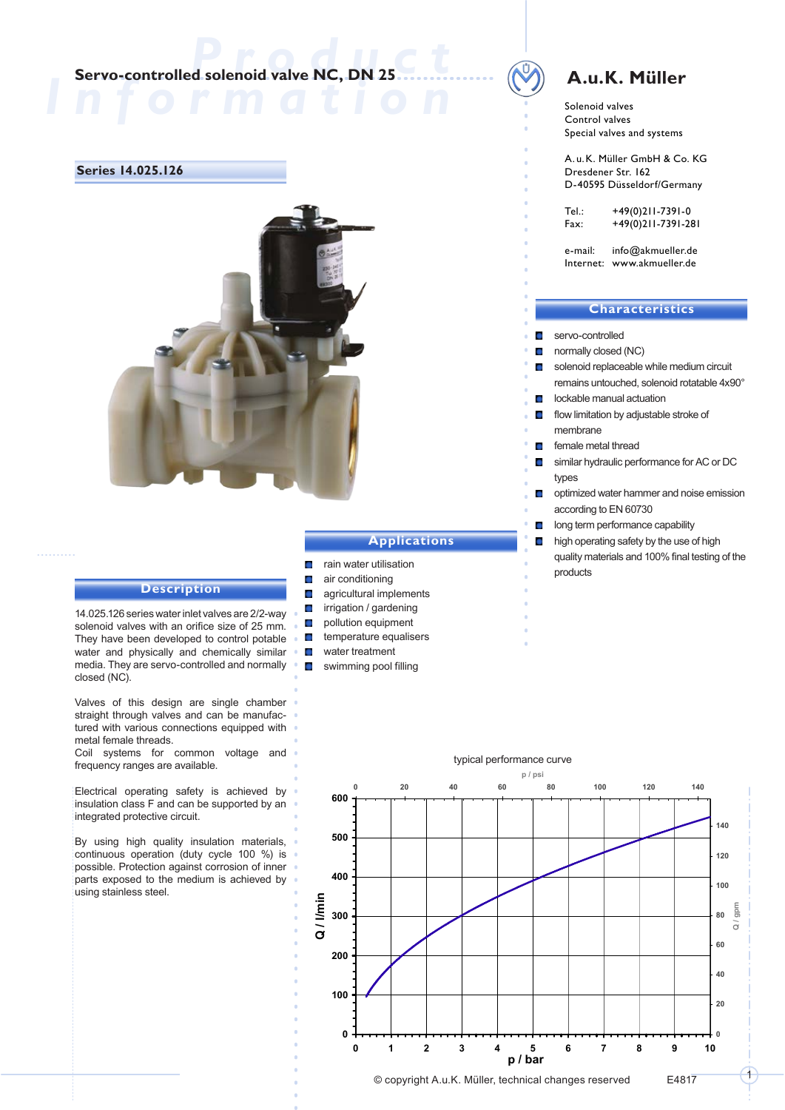## **Servo-controlled solenoid valve NC, DN 25**

#### **Series 14.025.126**



#### **Description**

14.025.126 series water inlet valves are 2/2-way solenoid valves with an orifice size of 25 mm. They have been developed to control potable water and physically and chemically similar media. They are servo-controlled and normally closed (NC).

Valves of this design are single chamber straight through valves and can be manufactured with various connections equipped with metal female threads.

Coil systems for common voltage and frequency ranges are available.

Electrical operating safety is achieved by insulation class F and can be supported by an integrated protective circuit.

By using high quality insulation materials, continuous operation (duty cycle 100 %) is possible. Protection against corrosion of inner parts exposed to the medium is achieved by using stainless steel.

#### **Applications**

- rain water utilisation
- air conditioning  $\mathcal{L}_{\mathcal{A}}$

 $\mathbf{r}$ 

 $\overline{\phantom{a}}$ 

- agricultural implements  $\mathbf{r}$
- irrigation / gardening  $\Box$
- $\Box$ pollution equipment  $\blacksquare$ 
	- temperature equalisers
	- water treatment
- $\Box$ swimming pool filling

# **A.u.K. Müller**

Solenoid valves Control valves Special valves and systems

A.u.K. Müller GmbH & Co. KG Dresdener Str. 162 D-40595 Düsseldorf/Germany

Tel.: +49(0)211-7391-0 Fax: +49(0)211-7391-281

e-mail: info@akmueller.de Internet: www.akmueller.de

#### **Characteristics**

- $\Box$ servo-controlled
- normally closed (NC)
- solenoid replaceable while medium circuit remains untouched, solenoid rotatable 4x90°
- lockable manual actuation
- flow limitation by adjustable stroke of membrane
- female metal thread  $\sim$
- similar hydraulic performance for AC or DC types
- $\blacksquare$ optimized water hammer and noise emission according to EN 60730
- long term performance capability
- high operating safety by the use of high quality materials and 100% final testing of the products

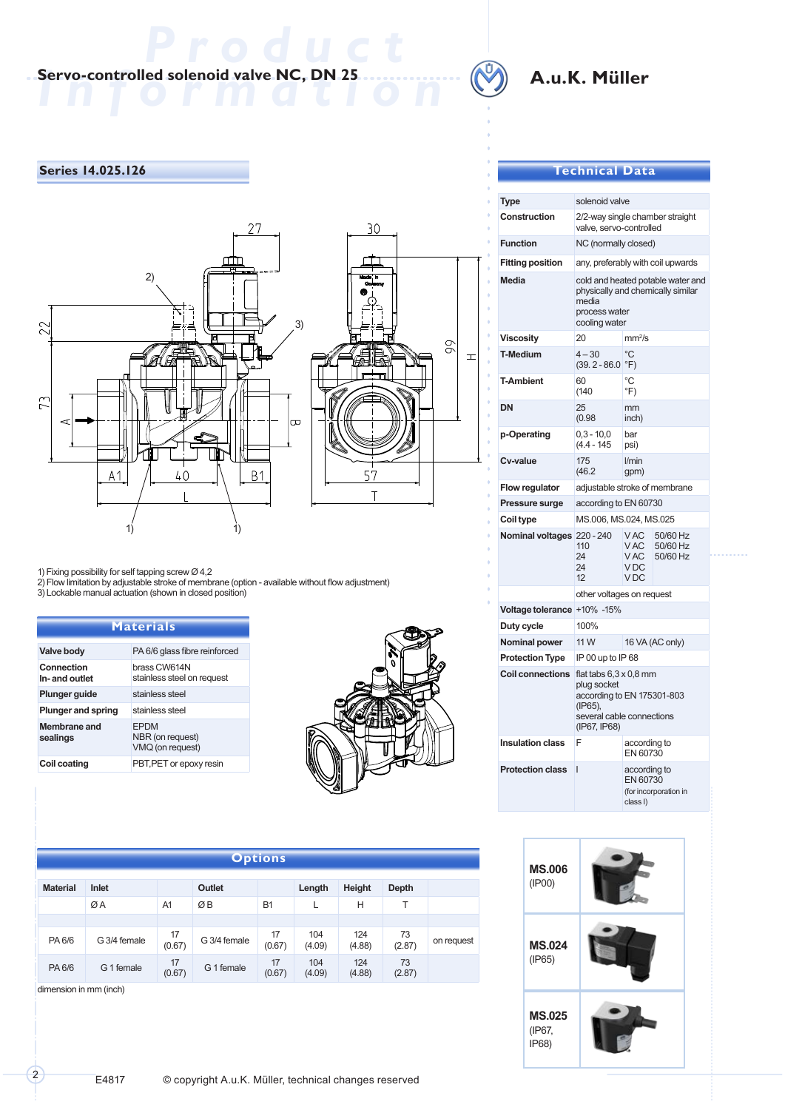# **Information Servo-controlled solenoid valve NC, DN 25**



# **A.u.K. Müller**

## **Series 14.025.126**



1) Fixing possibility for self tapping screw Ø 4,2

2) Flow limitation by adjustable stroke of membrane (option - available without flow adjustment)

3) Lockable manual actuation (shown in closed position)

| <b>Materials</b>            |                                                     |  |  |  |  |  |
|-----------------------------|-----------------------------------------------------|--|--|--|--|--|
| Valve body                  | PA 6/6 glass fibre reinforced                       |  |  |  |  |  |
| Connection<br>In-and outlet | brass CW614N<br>stainless steel on request          |  |  |  |  |  |
| <b>Plunger guide</b>        | stainless steel                                     |  |  |  |  |  |
| <b>Plunger and spring</b>   | stainless steel                                     |  |  |  |  |  |
| Membrane and<br>sealings    | <b>FPDM</b><br>NBR (on request)<br>VMQ (on request) |  |  |  |  |  |
| Coil coating                | PBT, PET or epoxy resin                             |  |  |  |  |  |



| Options         |              |              |              |              |               |               |              |            |
|-----------------|--------------|--------------|--------------|--------------|---------------|---------------|--------------|------------|
| <b>Material</b> | Inlet        |              | Outlet       |              | Length        | Height        | Depth        |            |
|                 | ØA           | A1           | ØB           | <b>B1</b>    |               | н             |              |            |
|                 |              |              |              |              |               |               |              |            |
| PA 6/6          | G 3/4 female | 17<br>(0.67) | G 3/4 female | 17<br>(0.67) | 104<br>(4.09) | 124<br>(4.88) | 73<br>(2.87) | on request |
| PA 6/6          | G 1 female   | 17<br>(0.67) | G 1 female   | 17<br>(0.67) | 104<br>(4.09) | 124<br>(4.88) | 73<br>(2.87) |            |

dimension in mm (inch)

## **Technical Data**

| Type                        | solenoid valve                                                                                                                     |                                                               |                                  |  |  |  |  |
|-----------------------------|------------------------------------------------------------------------------------------------------------------------------------|---------------------------------------------------------------|----------------------------------|--|--|--|--|
| Construction                | 2/2-way single chamber straight<br>valve, servo-controlled                                                                         |                                                               |                                  |  |  |  |  |
| <b>Function</b>             | NC (normally closed)                                                                                                               |                                                               |                                  |  |  |  |  |
| <b>Fitting position</b>     | any, preferably with coil upwards                                                                                                  |                                                               |                                  |  |  |  |  |
| <b>Media</b>                | cold and heated potable water and<br>physically and chemically similar<br>media<br>process water<br>cooling water                  |                                                               |                                  |  |  |  |  |
| <b>Viscosity</b>            | 20                                                                                                                                 | mm <sup>2</sup> /s                                            |                                  |  |  |  |  |
| <b>T-Medium</b>             | $4 - 30$<br>$(39.2 - 86.0)$                                                                                                        | $\rm ^{\circ}C$<br>$\degree$ F)                               |                                  |  |  |  |  |
| <b>T-Ambient</b>            | 60<br>(140                                                                                                                         | $^{\circ}C$<br>$\mathrm{P}(\mathsf{F})$                       |                                  |  |  |  |  |
| <b>DN</b>                   | 25<br>(0.98)                                                                                                                       | mm<br>inch)                                                   |                                  |  |  |  |  |
| p-Operating                 | $0,3 - 10,0$<br>$(4.4 - 145)$                                                                                                      | bar<br>psi)                                                   |                                  |  |  |  |  |
| Cv-value                    | 175<br>(46.2)                                                                                                                      | l/min<br>qpm)                                                 |                                  |  |  |  |  |
| Flow regulator              | adjustable stroke of membrane                                                                                                      |                                                               |                                  |  |  |  |  |
| Pressure surge              | according to EN 60730                                                                                                              |                                                               |                                  |  |  |  |  |
| Coil type                   | MS.006, MS.024, MS.025                                                                                                             |                                                               |                                  |  |  |  |  |
| Nominal voltages 220 - 240  | 110<br>24<br>24<br>12                                                                                                              | V AC<br>V AC<br>V AC<br>V <sub>DC</sub><br>V <sub>DC</sub>    | 50/60 Hz<br>50/60 Hz<br>50/60 Hz |  |  |  |  |
|                             |                                                                                                                                    | other voltages on request                                     |                                  |  |  |  |  |
| Voltage tolerance +10% -15% |                                                                                                                                    |                                                               |                                  |  |  |  |  |
| Duty cycle                  | 100%                                                                                                                               |                                                               |                                  |  |  |  |  |
| Nominal power               | 11 W                                                                                                                               | 16 VA (AC only)                                               |                                  |  |  |  |  |
| <b>Protection Type</b>      | IP 00 up to IP 68                                                                                                                  |                                                               |                                  |  |  |  |  |
| <b>Coil connections</b>     | flat tabs $6.3 \times 0.8$ mm<br>plug socket<br>according to EN 175301-803<br>(IP65),<br>several cable connections<br>(IP67, IP68) |                                                               |                                  |  |  |  |  |
| <b>Insulation class</b>     | F                                                                                                                                  | according to<br>EN 60730                                      |                                  |  |  |  |  |
| <b>Protection class</b>     | I                                                                                                                                  | according to<br>EN 60730<br>(for incorporation in<br>class I) |                                  |  |  |  |  |

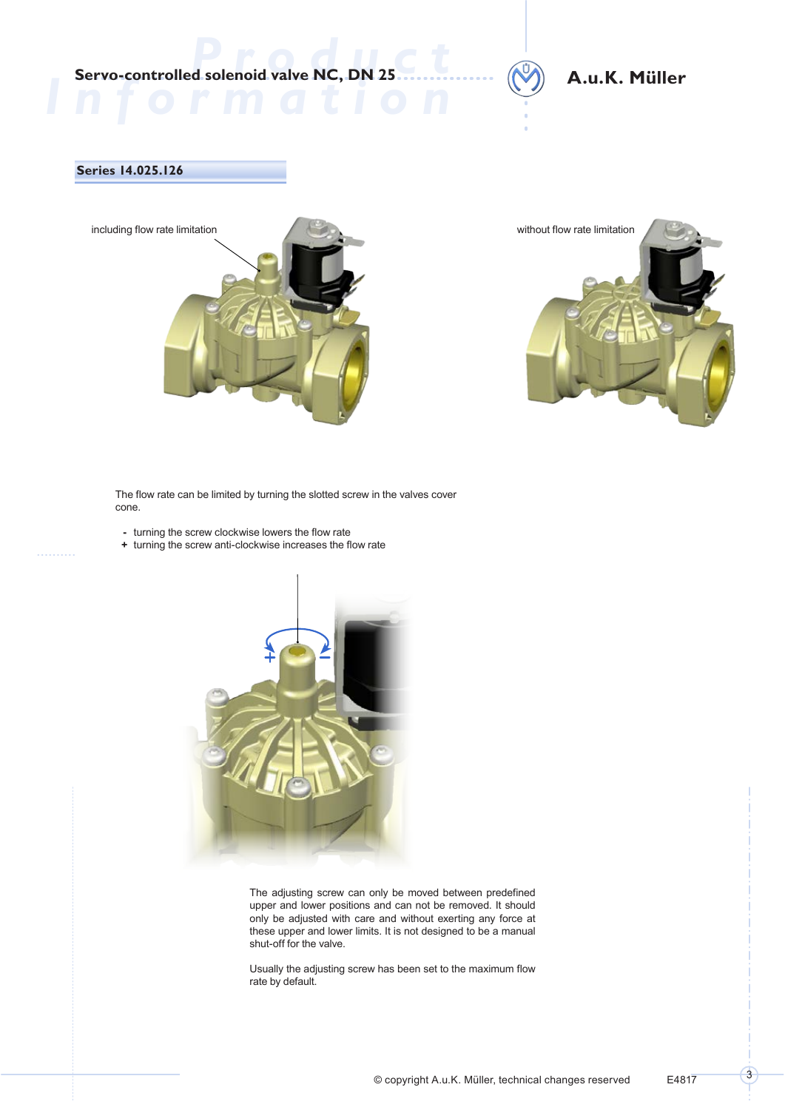**Servo-controlled solenoid valve NC, DN 25** 

## **A.u.K. Müller**

### **Series 14.025.126**





The flow rate can be limited by turning the slotted screw in the valves cover cone.

- **-** turning the screw clockwise lowers the flow rate
- **+** turning the screw anti-clockwise increases the flow rate



The adjusting screw can only be moved between predefined upper and lower positions and can not be removed. It should only be adjusted with care and without exerting any force at these upper and lower limits. It is not designed to be a manual shut-off for the valve.

Usually the adjusting screw has been set to the maximum flow rate by default.